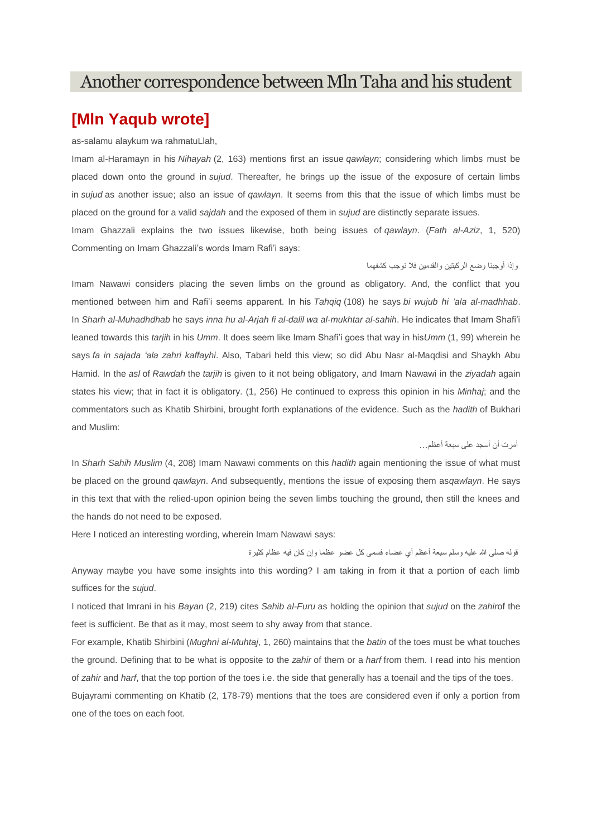# Another correspondence between Mln Taha and his student

## **[Mln Yaqub wrote]**

as-salamu alaykum wa rahmatuLlah,

Commenting on Imam Ghazzali's words Imam Rafi'i says:

Imam al-Haramayn in his *Nihayah* (2, 163) mentions first an issue *qawlayn*; considering which limbs must be placed down onto the ground in *sujud*. Thereafter, he brings up the issue of the exposure of certain limbs in *sujud* as another issue; also an issue of *qawlayn*. It seems from this that the issue of which limbs must be placed on the ground for a valid *sajdah* and the exposed of them in *sujud* are distinctly separate issues. Imam Ghazzali explains the two issues likewise, both being issues of *qawlayn*. (*Fath al-Aziz*, 1, 520)

وإذا أوجبنا وضع الركبتين والقدمين فال نوجب كشفهما

Imam Nawawi considers placing the seven limbs on the ground as obligatory. And, the conflict that you mentioned between him and Rafi'i seems apparent. In his *Tahqiq* (108) he says *bi wujub hi 'ala al-madhhab*. In *Sharh al-Muhadhdhab* he says *inna hu al-Arjah fi al-dalil wa al-mukhtar al-sahih*. He indicates that Imam Shafi'i leaned towards this *tarjih* in his *Umm*. It does seem like Imam Shafi'i goes that way in his*Umm* (1, 99) wherein he says *fa in sajada 'ala zahri kaffayhi*. Also, Tabari held this view; so did Abu Nasr al-Maqdisi and Shaykh Abu Hamid. In the *asl* of *Rawdah* the *tarjih* is given to it not being obligatory, and Imam Nawawi in the *ziyadah* again states his view; that in fact it is obligatory. (1, 256) He continued to express this opinion in his *Minhaj*; and the commentators such as Khatib Shirbini, brought forth explanations of the evidence. Such as the *hadith* of Bukhari and Muslim:

أمرت أن أسجد على سبعة أعظم...

In *Sharh Sahih Muslim* (4, 208) Imam Nawawi comments on this *hadith* again mentioning the issue of what must be placed on the ground *qawlayn*. And subsequently, mentions the issue of exposing them as*qawlayn*. He says in this text that with the relied-upon opinion being the seven limbs touching the ground, then still the knees and the hands do not need to be exposed.

Here I noticed an interesting wording, wherein Imam Nawawi says:

قوله صلى الله عليه وسلم سبعة أعظم أي عضاء فسمى كل عضو عظما وإن كان فيه عظام كثيرة Anyway maybe you have some insights into this wording? I am taking in from it that a portion of each limb suffices for the *sujud*.

I noticed that Imrani in his *Bayan* (2, 219) cites *Sahib al-Furu* as holding the opinion that *sujud* on the *zahir*of the feet is sufficient. Be that as it may, most seem to shy away from that stance.

For example, Khatib Shirbini (*Mughni al-Muhtaj*, 1, 260) maintains that the *batin* of the toes must be what touches the ground. Defining that to be what is opposite to the *zahir* of them or a *harf* from them. I read into his mention of *zahir* and *harf*, that the top portion of the toes i.e. the side that generally has a toenail and the tips of the toes.

Bujayrami commenting on Khatib (2, 178-79) mentions that the toes are considered even if only a portion from one of the toes on each foot.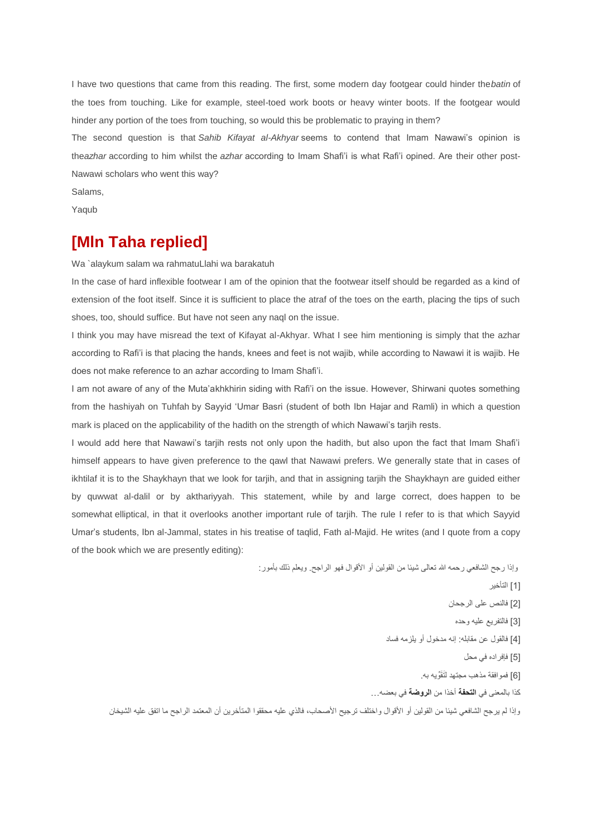I have two questions that came from this reading. The first, some modern day footgear could hinder the*batin* of the toes from touching. Like for example, steel-toed work boots or heavy winter boots. If the footgear would hinder any portion of the toes from touching, so would this be problematic to praying in them?

The second question is that *Sahib Kifayat al-Akhyar* seems to contend that Imam Nawawi's opinion is the*azhar* according to him whilst the *azhar* according to Imam Shafi'i is what Rafi'i opined. Are their other post-Nawawi scholars who went this way?

Salams,

Yaqub

## **[Mln Taha replied]**

Wa `alaykum salam wa rahmatuLlahi wa barakatuh

In the case of hard inflexible footwear I am of the opinion that the footwear itself should be regarded as a kind of extension of the foot itself. Since it is sufficient to place the atraf of the toes on the earth, placing the tips of such shoes, too, should suffice. But have not seen any naql on the issue.

I think you may have misread the text of Kifayat al-Akhyar. What I see him mentioning is simply that the azhar according to Rafi'i is that placing the hands, knees and feet is not wajib, while according to Nawawi it is wajib. He does not make reference to an azhar according to Imam Shafi'i.

I am not aware of any of the Muta'akhkhirin siding with Rafi'i on the issue. However, Shirwani quotes something from the hashiyah on Tuhfah by Sayyid 'Umar Basri (student of both Ibn Hajar and Ramli) in which a question mark is placed on the applicability of the hadith on the strength of which Nawawi's tarjih rests.

I would add here that Nawawi's tarjih rests not only upon the hadith, but also upon the fact that Imam Shafi'i himself appears to have given preference to the qawl that Nawawi prefers. We generally state that in cases of ikhtilaf it is to the Shaykhayn that we look for tarjih, and that in assigning tarjih the Shaykhayn are guided either by quwwat al-dalil or by akthariyyah. This statement, while by and large correct, does happen to be somewhat elliptical, in that it overlooks another important rule of tarjih. The rule I refer to is that which Sayyid Umar's students, Ibn al-Jammal, states in his treatise of taqlid, Fath al-Majid. He writes (and I quote from a copy of the book which we are presently editing):

> وإذا رجح الشافعي رحمه الله تعالى شيئا من القولين أو الأقوال فهو الراجح. ويعلم ذلك بأمور : [1] التأخير

> > ]2[ فالنص على الرجحان

]3[ فالتفريع عليه وحده

]4[ فالقول عن مقابله إنه مدخول أو يلزمه فساد

]5[ فإفراده في محل

]6[ فموافقة مذهب مجتهد لَتَقِّويه بهي

كذا بالمعنى في **التحفة** أخذا من **الروضة** في بعضه...

وإذا لم يرجح الشافعي شيئا من القولين أو الأقوال واختلف ترجيح الأصحاب، فالذي عليه محققوا المتأخرين أن المعتمد الراجح ما اتفق عليه الشيخان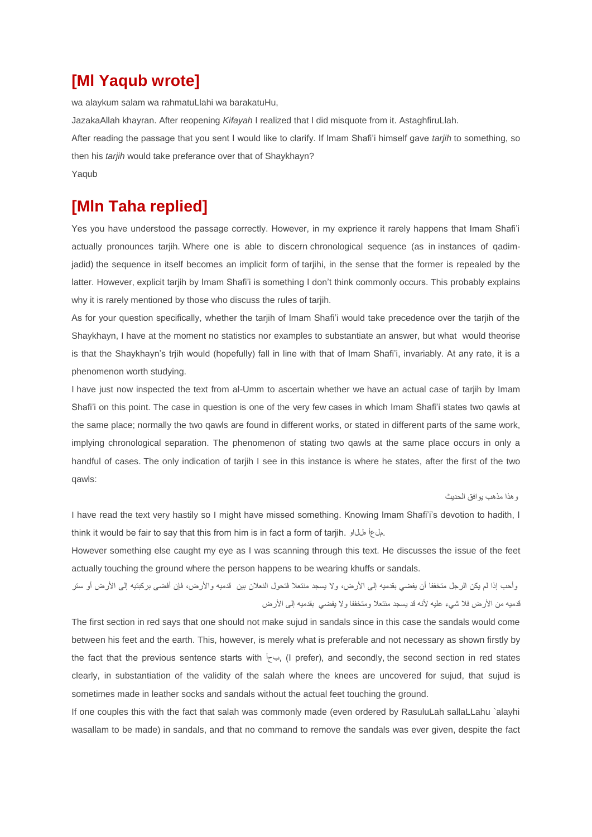# **[Ml Yaqub wrote]**

wa alaykum salam wa rahmatuLlahi wa barakatuHu,

JazakaAllah khayran. After reopening *Kifayah* I realized that I did misquote from it. AstaghfiruLlah. After reading the passage that you sent I would like to clarify. If Imam Shafi'i himself gave *tarjih* to something, so then his *tarjih* would take preferance over that of Shaykhayn? Yaqub

# **[Mln Taha replied]**

Yes you have understood the passage correctly. However, in my exprience it rarely happens that Imam Shafi'i actually pronounces tarjih. Where one is able to discern chronological sequence (as in instances of qadimjadid) the sequence in itself becomes an implicit form of tarjihi, in the sense that the former is repealed by the latter. However, explicit tarjih by Imam Shafi'i is something I don't think commonly occurs. This probably explains why it is rarely mentioned by those who discuss the rules of tarjih.

As for your question specifically, whether the tarjih of Imam Shafi'i would take precedence over the tarjih of the Shaykhayn, I have at the moment no statistics nor examples to substantiate an answer, but what would theorise is that the Shaykhayn's trjih would (hopefully) fall in line with that of Imam Shafi'i, invariably. At any rate, it is a phenomenon worth studying.

I have just now inspected the text from al-Umm to ascertain whether we have an actual case of tarjih by Imam Shafi'i on this point. The case in question is one of the very few cases in which Imam Shafi'i states two qawls at the same place; normally the two qawls are found in different works, or stated in different parts of the same work, implying chronological separation. The phenomenon of stating two qawls at the same place occurs in only a handful of cases. The only indication of tarjih I see in this instance is where he states, after the first of the two qawls:

#### وهذا مذهب يوافق الحديث

I have read the text very hastily so I might have missed something. Knowing Imam Shafi'i's devotion to hadith, I think it would be fair to say that this from him is in fact a form of tarjih. هللاو ملعأ.

However something else caught my eye as I was scanning through this text. He discusses the issue of the feet actually touching the ground where the person happens to be wearing khuffs or sandals.

وأحب إذا لم يكن الرجل متخففا أن يفضي بقدميه إلى الأرض، ولا يسجد منتعلا فتحول النعلان بين قدميه والأرض، فإن أفضى بركبتيه إلى الأرض أو ستر قدميه من الأرض فلا شيء عليه لأنه قد يسجد منتعلا ومتخففا ولا يفضي بقدميه إلى الأرض

The first section in red says that one should not make sujud in sandals since in this case the sandals would come between his feet and the earth. This, however, is merely what is preferable and not necessary as shown firstly by the fact that the previous sentence starts with  $\vdash \neg \vdash$ , (I prefer), and secondly, the second section in red states clearly, in substantiation of the validity of the salah where the knees are uncovered for sujud, that sujud is sometimes made in leather socks and sandals without the actual feet touching the ground.

If one couples this with the fact that salah was commonly made (even ordered by RasuluLah sallaLLahu `alayhi wasallam to be made) in sandals, and that no command to remove the sandals was ever given, despite the fact